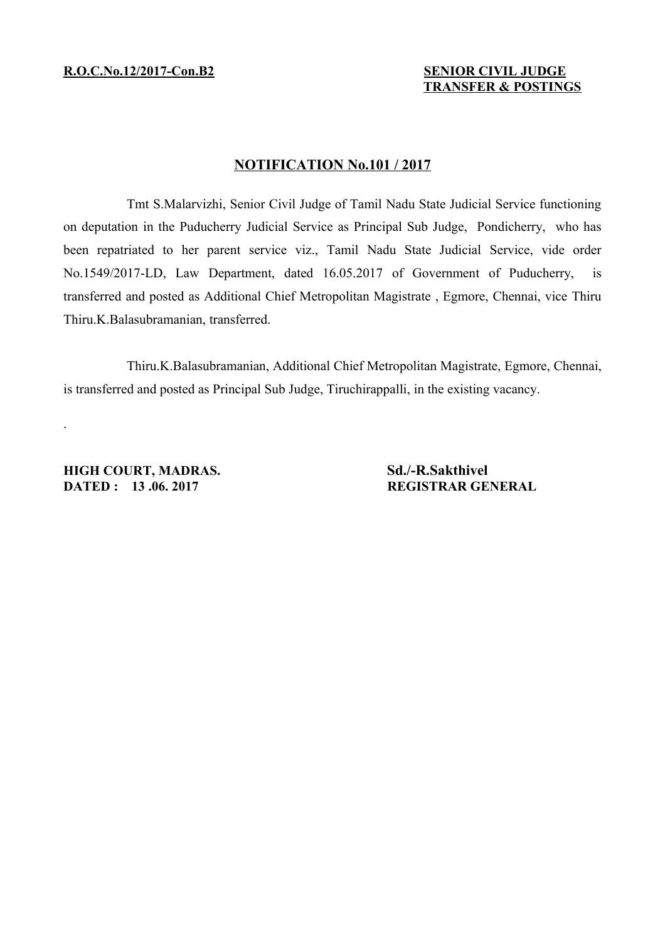## **NOTIFICATION No.101 / 2017**

Tmt S.Malarvizhi, Senior Civil Judge of Tamil Nadu State Judicial Service functioning on deputation in the Puducherry Judicial Service as Principal Sub Judge, Pondicherry, who has been repatriated to her parent service viz., Tamil Nadu State Judicial Service, vide order No.1549/2017-LD, Law Department, dated 16.05.2017 of Government of Puducherry, is transferred and posted as Additional Chief Metropolitan Magistrate , Egmore, Chennai, vice Thiru Thiru.K.Balasubramanian, transferred.

Thiru.K.Balasubramanian, Additional Chief Metropolitan Magistrate, Egmore, Chennai, is transferred and posted as Principal Sub Judge, Tiruchirappalli, in the existing vacancy.

**HIGH COURT, MADRAS. Sd./-R.Sakthivel DATED : 13 .06. 2017 REGISTRAR GENERAL** 

.